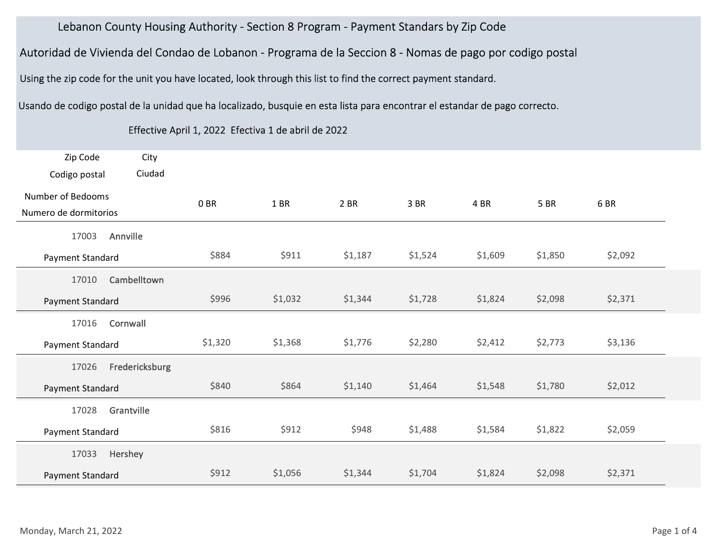## Lebanon County Housing Authority - Section 8 Program - Payment Standars by Zip Code

| Lebanon County Housing Authority - Section 8 Program - Payment Standars by Zip Code                                        |         |                                                     |         |         |         |         |             |  |
|----------------------------------------------------------------------------------------------------------------------------|---------|-----------------------------------------------------|---------|---------|---------|---------|-------------|--|
| Autoridad de Vivienda del Condao de Lobanon - Programa de la Seccion 8 - Nomas de pago por codigo postal                   |         |                                                     |         |         |         |         |             |  |
| Using the zip code for the unit you have located, look through this list to find the correct payment standard.             |         |                                                     |         |         |         |         |             |  |
| Usando de codigo postal de la unidad que ha localizado, busquie en esta lista para encontrar el estandar de pago correcto. |         |                                                     |         |         |         |         |             |  |
|                                                                                                                            |         | Effective April 1, 2022 Efectiva 1 de abril de 2022 |         |         |         |         |             |  |
| Zip Code<br>City<br>Ciudad<br>Codigo postal                                                                                |         |                                                     |         |         |         |         |             |  |
| <b>Number of Bedooms</b><br>Numero de dormitorios                                                                          | 0 BR    | 1 BR                                                | 2 BR    | 3 BR    | 4 BR    | 5 BR    | 6BR         |  |
| Annville<br>17003<br>Payment Standard                                                                                      | \$884   | \$911                                               | \$1,187 | \$1,524 | \$1,609 | \$1,850 | \$2,092     |  |
| Cambelltown<br>17010<br>Payment Standard                                                                                   | \$996   | \$1,032                                             | \$1,344 | \$1,728 | \$1,824 | \$2,098 | \$2,371     |  |
| 17016<br>Cornwall<br>Payment Standard                                                                                      | \$1,320 | \$1,368                                             | \$1,776 | \$2,280 | \$2,412 | \$2,773 | \$3,136     |  |
| Fredericksburg<br>17026<br>Payment Standard                                                                                | \$840   | \$864                                               | \$1,140 | \$1,464 | \$1,548 | \$1,780 | \$2,012     |  |
| 17028 Grantville<br>Payment Standard                                                                                       | \$816   | \$912                                               | \$948   | \$1,488 | \$1,584 | \$1,822 | \$2,059     |  |
| 17033 Hershey<br>Payment Standard                                                                                          | \$912   | \$1,056                                             | \$1,344 | \$1,704 | \$1,824 | \$2,098 | \$2,371     |  |
| Monday, March 21, 2022                                                                                                     |         |                                                     |         |         |         |         | Page 1 of 4 |  |

## Effective April 1, 2022 Efectiva 1 de abril de 2022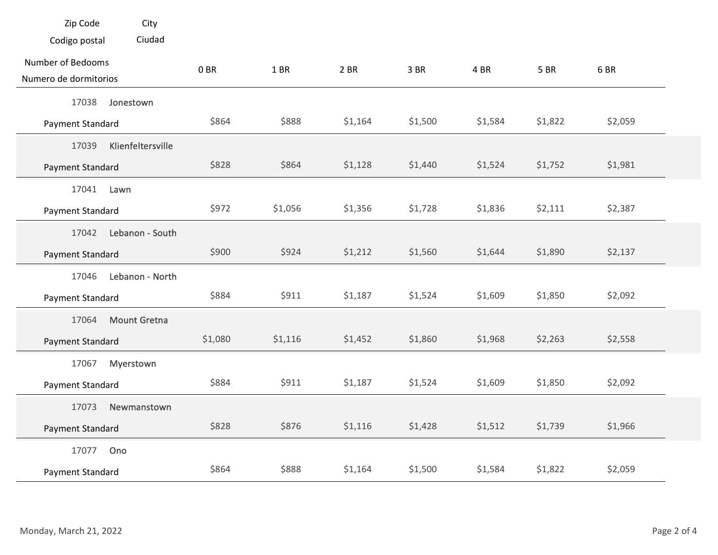| Zip Code<br>City<br>Ciudad<br>Codigo postal      |         |         |         |         |         |             |         |             |
|--------------------------------------------------|---------|---------|---------|---------|---------|-------------|---------|-------------|
|                                                  |         |         |         |         |         |             |         |             |
|                                                  |         |         |         |         |         |             |         |             |
| Number of Bedooms<br>Numero de dormitorios       | 0B      | 1 BR    | $2$ BR  | 3 BR    | 4 BR    | <b>5 BR</b> | 6BR     |             |
| 17038<br>Jonestown<br>Payment Standard           | \$864   | \$888   | \$1,164 | \$1,500 | \$1,584 | \$1,822     | \$2,059 |             |
| Klienfeltersville<br>17039<br>Payment Standard   | \$828   | \$864   | \$1,128 | \$1,440 | \$1,524 | \$1,752     | \$1,981 |             |
| 17041<br>Lawn<br>Payment Standard                | \$972   | \$1,056 | \$1,356 | \$1,728 | \$1,836 | \$2,111     | \$2,387 |             |
| Lebanon - South<br>17042<br>Payment Standard     | \$900   | \$924   | \$1,212 | \$1,560 | \$1,644 | \$1,890     | \$2,137 |             |
| Lebanon - North<br>17046<br>Payment Standard     | \$884   | \$911   | \$1,187 | \$1,524 | \$1,609 | \$1,850     | \$2,092 |             |
| <b>Mount Gretna</b><br>17064<br>Payment Standard | \$1,080 | \$1,116 | \$1,452 | \$1,860 | \$1,968 | \$2,263     | \$2,558 |             |
| Myerstown<br>17067<br>Payment Standard           | \$884   | \$911   | \$1,187 | \$1,524 | \$1,609 | \$1,850     | \$2,092 |             |
| 17073<br>Newmanstown<br>Payment Standard         | \$828   | \$876   | \$1,116 | \$1,428 | \$1,512 | \$1,739     | \$1,966 |             |
| 17077 Ono<br>Payment Standard                    | \$864   | \$888   | \$1,164 | \$1,500 | \$1,584 | \$1,822     | \$2,059 |             |
| Monday, March 21, 2022                           |         |         |         |         |         |             |         | Page 2 of 4 |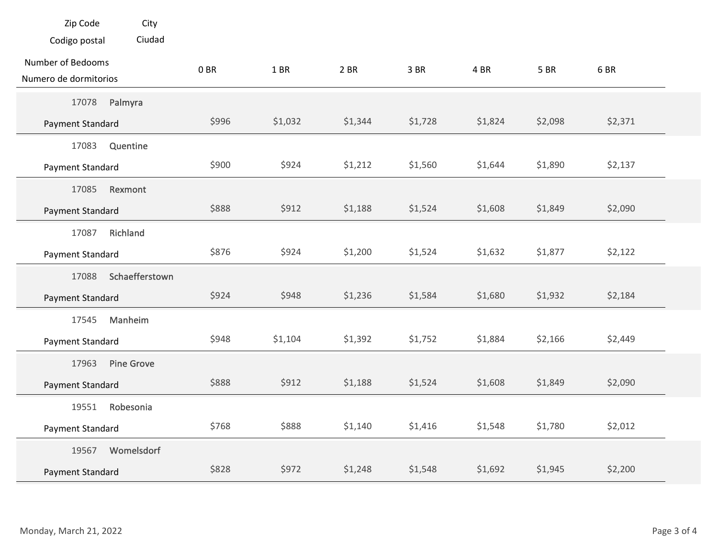| Zip Code<br>City<br>Ciudad<br>Codigo postal    |       |         |         |         |         |             |             |  |
|------------------------------------------------|-------|---------|---------|---------|---------|-------------|-------------|--|
| Number of Bedooms<br>Numero de dormitorios     | 0 BR  | 1 BR    | 2 BR    | 3 BR    | 4 BR    | <b>5 BR</b> | 6BR         |  |
| Palmyra<br>17078<br>Payment Standard           | \$996 | \$1,032 | \$1,344 | \$1,728 | \$1,824 | \$2,098     | \$2,371     |  |
| Quentine<br>17083<br>Payment Standard          | \$900 | \$924   | \$1,212 | \$1,560 | \$1,644 | \$1,890     | \$2,137     |  |
| 17085<br>Rexmont<br>Payment Standard           | \$888 | \$912   | \$1,188 | \$1,524 | \$1,608 | \$1,849     | \$2,090     |  |
| Richland<br>17087<br>Payment Standard          | \$876 | \$924   | \$1,200 | \$1,524 | \$1,632 | \$1,877     | \$2,122     |  |
| Schaefferstown<br>17088<br>Payment Standard    | \$924 | \$948   | \$1,236 | \$1,584 | \$1,680 | \$1,932     | \$2,184     |  |
| 17545 Manheim<br>Payment Standard              | \$948 | \$1,104 | \$1,392 | \$1,752 | \$1,884 | \$2,166     | \$2,449     |  |
| <b>Pine Grove</b><br>17963<br>Payment Standard | \$888 | \$912   | \$1,188 | \$1,524 | \$1,608 | \$1,849     | \$2,090     |  |
| Robesonia<br>19551<br>Payment Standard         | \$768 | \$888   | \$1,140 | \$1,416 | \$1,548 | \$1,780     | \$2,012     |  |
| Womelsdorf<br>19567<br>Payment Standard        | \$828 | \$972   | \$1,248 | \$1,548 | \$1,692 | \$1,945     | \$2,200     |  |
|                                                |       |         |         |         |         |             |             |  |
| Monday, March 21, 2022                         |       |         |         |         |         |             | Page 3 of 4 |  |